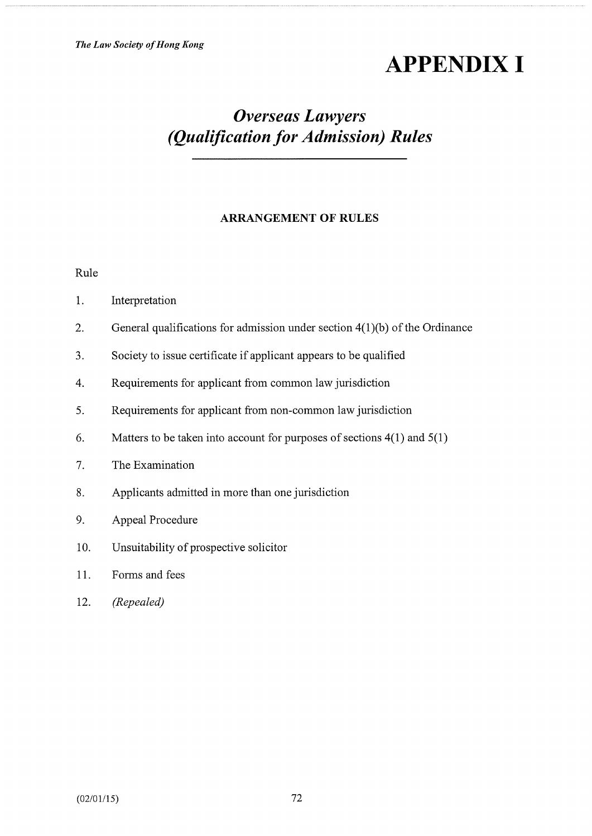# **APPENDIX I**

# Overseas Lawyers (Qualification for Admission) Rules

# ARRANGEMENT OF RULES

Rule

| 1.<br>Interpretation |  |
|----------------------|--|
|----------------------|--|

- 2. General qualifications for admission under section 4(1 )(b) of the Ordinance
- 3. Society to issue certificate if applicant appears to be qualified
- 4. Requirements for applicant from common law jurisdiction
- 5. Requirements for applicant from non-common law jurisdiction
- 6. Matters to be taken into account for purposes of sections  $4(1)$  and  $5(1)$
- 7. The Examination
- 8. Applicants admitted in more than one jurisdiction
- 9. Appeal Procedure
- 10. Unsuitability of prospective solicitor
- 11. Forms and fees
- 12. (Repealed)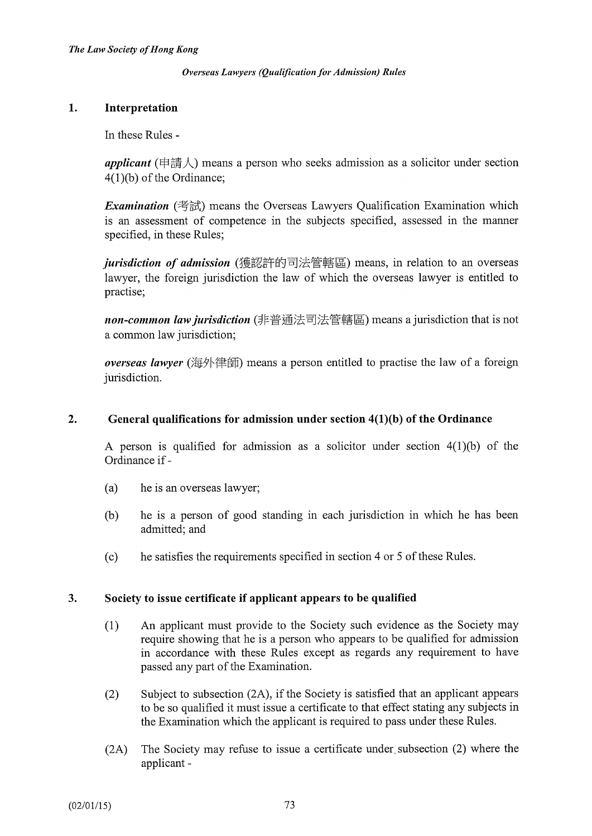# 1. Interpretation

In these Rules -

**applicant** ( $\# \sharp \downarrow$ ) means a person who seeks admission as a solicitor under section 4(l)(b) of the Ordinance;

*Examination* (考試) means the Overseas Lawyers Qualification Examination which is an assessment of competence in the subjects specified, assessed in the manner specified, in these Rules;

jurisdiction of admission (獲認許的司法管轄區) means, in relation to an overseas lawyer, the foreign jurisdiction the law of which the overseas lawyer is entitled to practise;

non-common law jurisdiction (非普通法司法管轄區) means a jurisdiction that is not a common law jurisdiction;

overseas lawyer (海外律師) means a person entitled to practise the law of a foreign jurisdiction.

# 2. General qualifications for admission under section 4(1)(b) of the Ordinance

A person is qualified for admission as a solicitor under section  $4(1)(b)$  of the Ordinance if -

- (a) he is an overseas lawyer;
- (b) he is a person of good standing in each jurisdiction in which he has been admitted; and
- (c) he satisfies the requirements specified in section 4 or 5 of these Rules.

# 3. Society to issue certificate if applicant appears to be qualified

- (1) An applicant must provide to the Society such evidence as the Society may require showing that he is a person who appears to be qualified for admission in accordance with these Rules except as regards any requirement to have passed any part of the Examination.
- (2) Subject to subsection (2A), if the Society is satisfied that an applicant appears to be so qualified it must issue a certificate to that effect stating any subjects in the Examination which the applicant is required to pass under these Rules.
- (2A) The Society may refuse to issue a certificate under, subsection (2) where the applicant -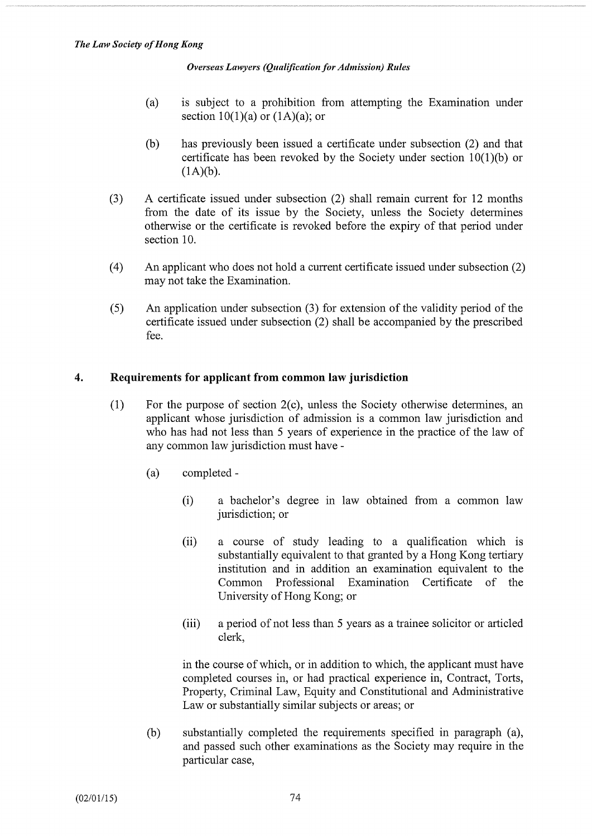- (a) is subject to a prohibition from attempting the Examination under section  $10(1)(a)$  or  $(1A)(a)$ ; or
- (b) has previously been issued a certificate under subsection (2) and that certificate has been revoked by the Society under section 10(1)(b) or  $(1A)(b)$ .
- (3) A certificate issued under subsection (2) shall remain current for 12 months from the date of its issue by the Society, unless the Society determines otherwise or the certificate is revoked before the expiry of that period under section 10.
- (4) An applicant who does not hold a current certificate issued under subsection (2) may not take the Examination.
- (5) An application under subsection (3) for extension of the validity period of the certificate issued under subsection (2) shall be accompanied by the prescribed fee.

# 4. Requirements for applicant from common law jurisdiction

- (1) For the purpose of section 2(c), unless the Society otherwise determines, an applicant whose jurisdiction of admission is a common law jurisdiction and who has had not less than 5 years of experience in the practice of the law of any common law jurisdiction must have -
	- (a) completed
		- (i) a bachelor's degree in law obtained from a common law jurisdiction; or
		- (ii) a course of study leading to a qualification which is substantially equivalent to that granted by a Hong Kong tertiary institution and in addition an examination equivalent to the Common Professional Examination Certificate of the University of Hong Kong; or
		- (iii) a period of not less than 5 years as a trainee solicitor or articled clerk,

in the course of which, or in addition to which, the applicant must have completed courses in, or had practical experience in, Contract, Torts, Property, Criminal Law, Equity and Constitutional and Administrative Law or substantially similar subjects or areas; or

(b) substantially completed the requirements specified in paragraph (a), and passed such other examinations as the Society may require in the particular case,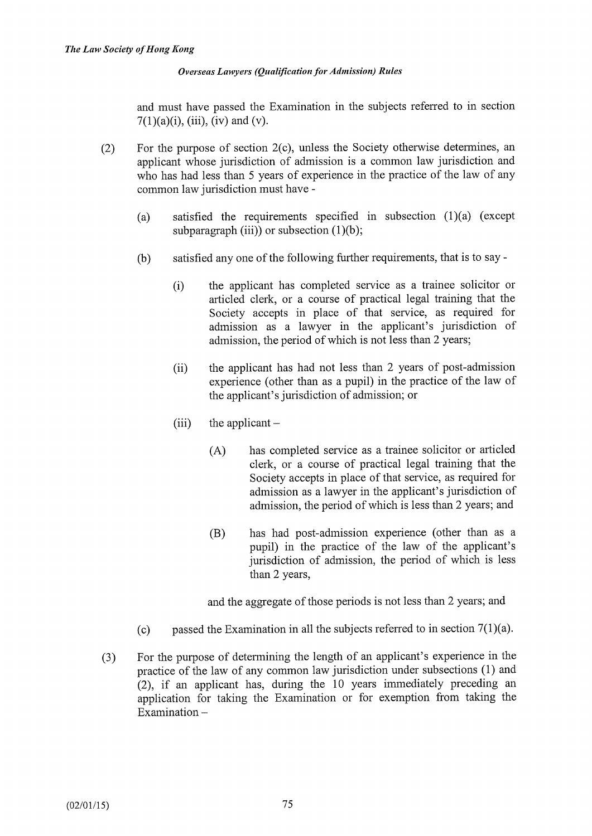and must have passed the Examination in the subjects referred to in section  $7(1)(a)(i)$ , (iii), (iv) and (v).

- (2) For the purpose of section 2(c), unless the Society otherwise determines, an applicant whose jurisdiction of admission is a common law jurisdiction and who has had less than 5 years of experience in the practice of the law of any common law jurisdiction must have -
	- (a) satisfied the requirements specified in subsection (1)(a) (except subparagraph (iii)) or subsection  $(1)(b)$ ;
	- (b) satisfied any one of the following further requirements, that is to say
		- (i) the applicant has completed service as a trainee solicitor or articled clerk, or a course of practical legal training that the Society accepts in place of that service, as required for admission as a lawyer in the applicant's jurisdiction of admission, the period of which is not less than 2 years;
		- (ii) the applicant has had not less than 2 years of post-admission experience (other than as a pupil) in the practice of the law of the applicant's jurisdiction of admission; or
		- $(iii)$  the applicant  $-$ 
			- (A) has completed service as a trainee solicitor or articled clerk, or a course of practical legal training that the Society accepts in place of that service, as required for admission as a lawyer in the applicant's jurisdiction of admission, the period of which is less than 2 years; and
			- (B) has had post-admission experience (other than as a pupil) in the practice of the law of the applicant's jurisdiction of admission, the period of which is less than 2 years,

and the aggregate of those periods is not less than 2 years; and

- (c) passed the Examination in all the subjects referred to in section  $7(1)(a)$ .
- (3) For the purpose of determining the length of an applicant's experience in the practice of the law of any common law jurisdiction under subsections (1) and (2), if an applicant has, during the 10 years immediately preceding an application for taking the Examination or for exemption from taking the Examination  $-$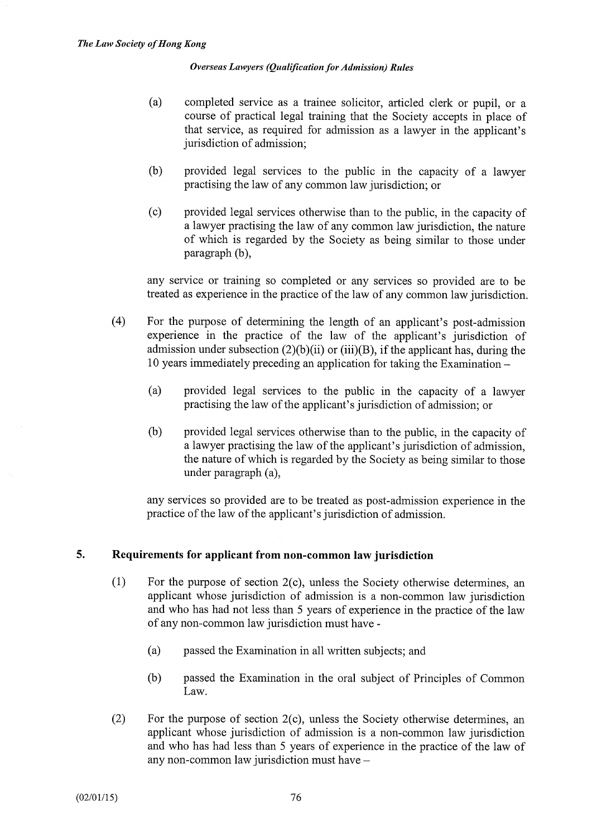- (a) completed service as a trainee solicitor, articled clerk or pupil, or a course of practical legal training that the Society accepts in place of that service, as required for admission as a lawyer in the applicant's jurisdiction of admission;
- (b) provided legal services to the public in the capacity of a lawyer practising the law of any common law jurisdiction; or
- (c) provided legal services otherwise than to the public, in the capacity of a lawyer practising the law of any common law jurisdiction, the nature of which is regarded by the Society as being similar to those under paragraph (b),

any service or training so completed or any services so provided are to be treated as experience in the practice of the law of any common law jurisdiction.

- (4) For the purpose of determining the length of an applicant's post-admission experience in the practice of the law of the applicant's jurisdiction of admission under subsection  $(2)(b)(ii)$  or  $(iii)(B)$ , if the applicant has, during the 10 years immediately preceding an application for taking the Examination -
	- (a) provided legal services to the public in the capacity of a lawyer practising the law of the applicant's jurisdiction of admission; or
	- (b) provided legal services otherwise than to the public, in the capacity of a lawyer practising the law of the applicant's jurisdiction of admission, the nature of which is regarded by the Society as being similar to those under paragraph (a),

any services so provided are to be treated as post-admission experience in the practice of the law of the applicant's jurisdiction of admission.

#### 5. Requirements for applicant from non-common law jurisdiction

- (1) For the purpose of section 2(c), unless the Society otherwise determines, an applicant whose jurisdiction of admission is a non-common law jurisdiction and who has had not less than 5 years of experience in the practice of the law of any non-common law jurisdiction must have -
	- (a) passed the Examination in all written subjects; and
	- (b) passed the Examination in the oral subject of Principles of Common Law.
- (2) For the purpose of section 2(c), unless the Society otherwise determines, an applicant whose jurisdiction of admission is a non-common law jurisdiction and who has had less than 5 years of experience in the practice of the law of any non-common law jurisdiction must have -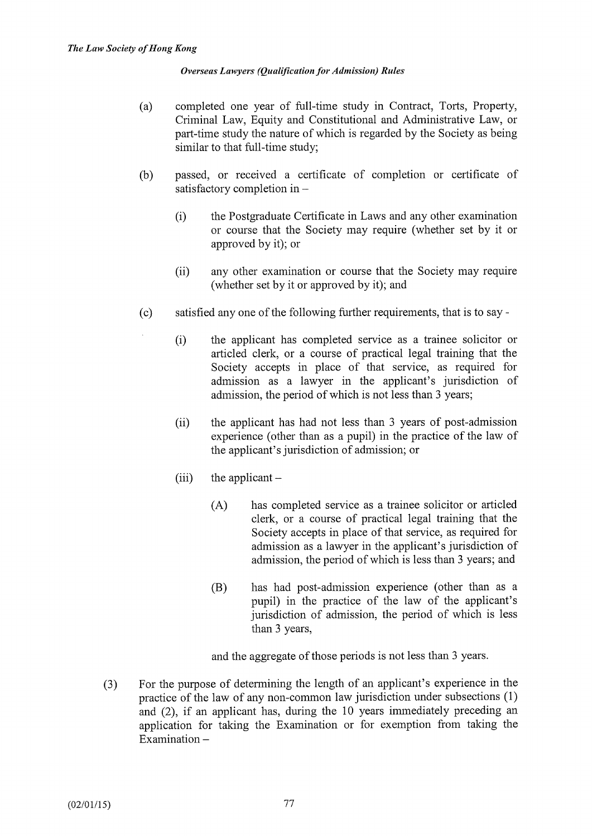- (a) completed one year of full-time study in Contract, Torts, Property, Criminal Law, Equity and Constitutional and Administrative Law, or part-time study the nature of which is regarded by the Society as being similar to that full-time study;
- (b) passed, or received a certificate of completion or certificate of satisfactory completion in -
	- (i) the Postgraduate Certificate in Laws and any other examination or course that the Society may require (whether set by it or approved by it); or
	- (ii) any other examination or course that the Society may require (whether set by it or approved by it); and
- (c) satisfied any one of the following further requirements, that is to say
	- (i) the applicant has completed service as a trainee solicitor or articled clerk, or a course of practical legal training that the Society accepts in place of that service, as required for admission as a lawyer in the applicant's jurisdiction of admission, the period of which is not less than 3 years;
	- (ii) the applicant has had not less than 3 years of post-admission experience (other than as a pupil) in the practice of the law of the applicant's jurisdiction of admission; or
	- $(iii)$  the applicant  $-$ 
		- (A) has completed service as a trainee solicitor or articled clerk, or a course of practical legal training that the Society accepts in place of that service, as required for admission as a lawyer in the applicant's jurisdiction of admission, the period of which is less than 3 years; and
		- (B) has had post-admission experience (other than as a pupil) in the practice of the law of the applicant's jurisdiction of admission, the period of which is less than 3 years,

and the aggregate of those periods is not less than 3 years.

(3) For the purpose of determining the length of an applicant's experience in the practice of the law of any non-common law jurisdiction under subsections (1) and (2), if an applicant has, during the 10 years immediately preceding an application for taking the Examination or for exemption from taking the  $Examination -$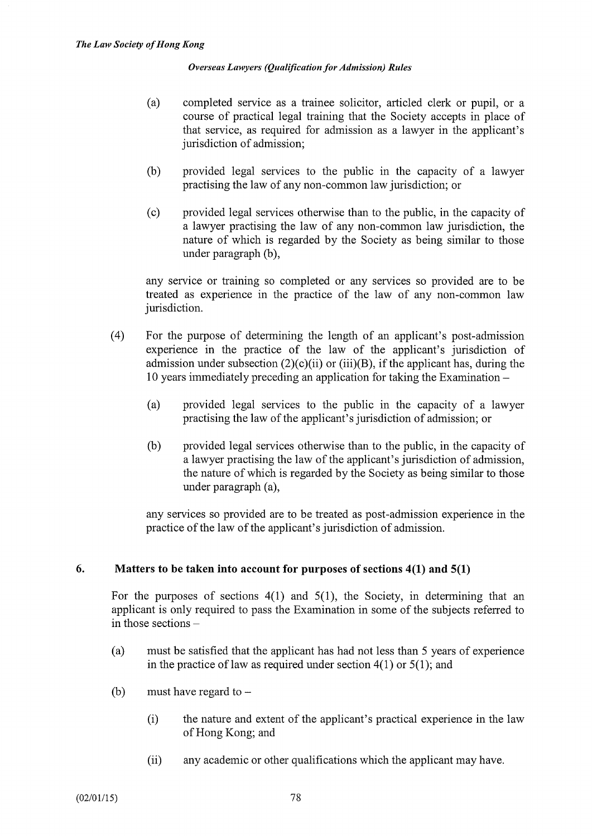- (a) completed service as a trainee solicitor, articled clerk or pupil, or a course of practical legal training that the Society accepts in place of that service, as required for admission as a lawyer in the applicant's jurisdiction of admission;
- (b) provided legal services to the public in the capacity of a lawyer practising the law of any non-common law jurisdiction; or
- (c) provided legal services otherwise than to the public, in the capacity of a lawyer practising the law of any non-common law jurisdiction, the nature of which is regarded by the Society as being similar to those under paragraph (b),

any service or training so completed or any services so provided are to be treated as experience in the practice of the law of any non-common law jurisdiction.

- (4) For the purpose of determining the length of an applicant's post-admission experience in the practice of the law of the applicant's jurisdiction of admission under subsection  $(2)(c)(ii)$  or  $(iii)(B)$ , if the applicant has, during the 10 years immediately preceding an application for taking the Examination -
	- (a) provided legal services to the public in the capacity of a lawyer practising the law of the applicant's jurisdiction of admission; or
	- (b) provided legal services otherwise than to the public, in the capacity of a lawyer practising the law of the applicant's jurisdiction of admission, the nature of which is regarded by the Society as being similar to those under paragraph (a),

any services so provided are to be treated as post-admission experience in the practice of the law of the applicant's jurisdiction of admission.

# 6. Matters to be taken into account for purposes of sections 4(1) and 5(1)

For the purposes of sections 4(1) and 5(1), the Society, in determining that an applicant is only required to pass the Examination in some of the subjects referred to in those sections  $-$ 

- (a) must be satisfied that the applicant has had not less than 5 years of experience in the practice of law as required under section  $4(1)$  or  $5(1)$ ; and
- (b) must have regard to  $-$ 
	- (i) the nature and extent of the applicant's practical experience in the law of Hong Kong; and
	- (ii) any academic or other qualifications which the applicant may have.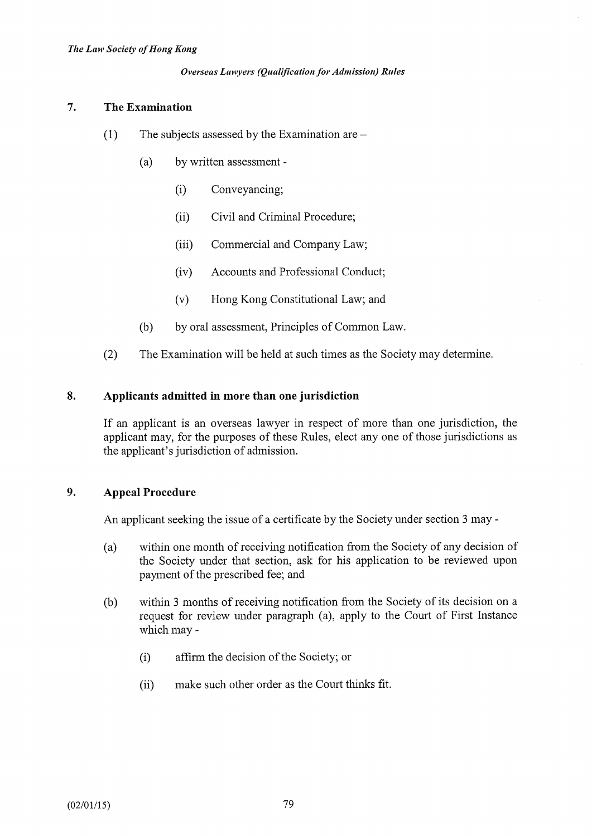# 7. The Examination

- (1) The subjects assessed by the Examination are  $-$ 
	- (a) by written assessment
		- (i) Conveyancing;
		- (ii) Civil and Criminal Procedure;
		- (iii) Commercial and Company Law;
		- (iv) Accounts and Professional Conduct;
		- (v) Hong Kong Constitutional Law; and
	- (b) by oral assessment, Principles of Common Law.
- (2) The Examination will be held at such times as the Society may determine.

# 8. Applicants admitted in more than one jurisdiction

If an applicant is an overseas lawyer in respect of more than one jurisdiction, the applicant may, for the purposes of these Rules, elect any one of those jurisdictions as the applicant's jurisdiction of admission.

# 9. Appeal Procedure

An applicant seeking the issue of a certificate by the Society under section 3 may -

- (a) within one month of receiving notification from the Society of any decision of the Society under that section, ask for his application to be reviewed upon payment of the prescribed fee; and
- (b) within 3 months of receiving notification from the Society of its decision on a request for review under paragraph (a), apply to the Court of First Instance which may -
	- (i) affirm the decision of the Society; or
	- (ii) make such other order as the Court thinks fit.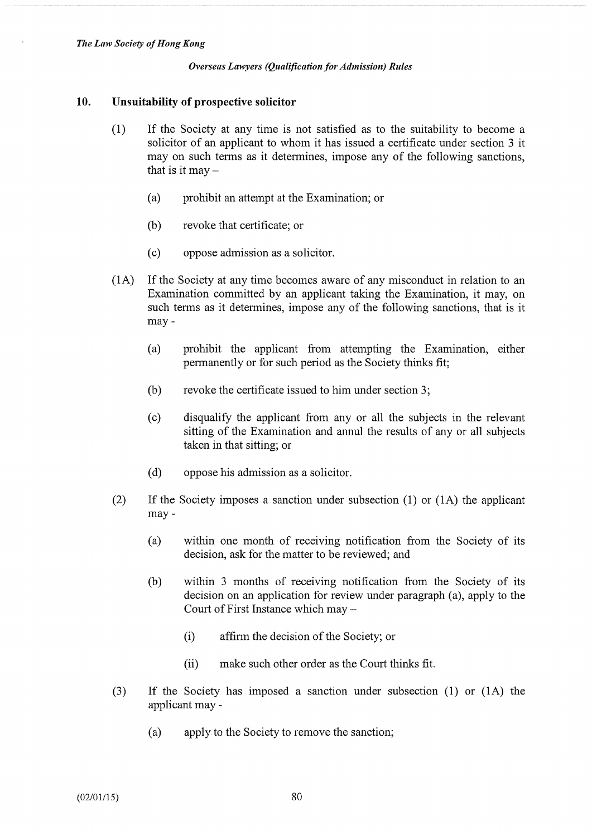#### 10. Unsuitability of prospective solicitor

- (1) If the Society at any time is not satisfied as to the suitability to become a solicitor of an applicant to whom it has issued a certificate under section 3 it may on such terms as it determines, impose any of the following sanctions, that is it may  $-$ 
	- (a) prohibit an attempt at the Examination; or
	- (b) revoke that certificate; or
	- (c) oppose admission as a solicitor.
- (1A) If the Society at any time becomes aware of any misconduct in relation to an Examination committed by an applicant taking the Examination, it may, on such terms as it determines, impose any of the following sanctions, that is it may -
	- (a) prohibit the applicant from attempting the Examination, either permanently or for such period as the Society thinks fit;
	- (b) revoke the certificate issued to him under section 3;
	- (c) disqualify the applicant from any or all the subjects in the relevant sitting of the Examination and annul the results of any or all subjects taken in that sitting; or
	- (d) oppose his admission as a solicitor.
- (2) If the Society imposes a sanction under subsection (1) or (1A) the applicant may -
	- (a) within one month of receiving notification from the Society of its decision, ask for the matter to be reviewed; and
	- (b) within 3 months of receiving notification from the Society of its decision on an application for review under paragraph (a), apply to the Court of First Instance which may -
		- (i) affinn the decision of the Society; or
		- (ii) make such other order as the Court thinks fit.
- (3) If the Society has imposed a sanction under subsection (1) or (1A) the applicant may -
	- (a) apply to the Society to remove the sanction;